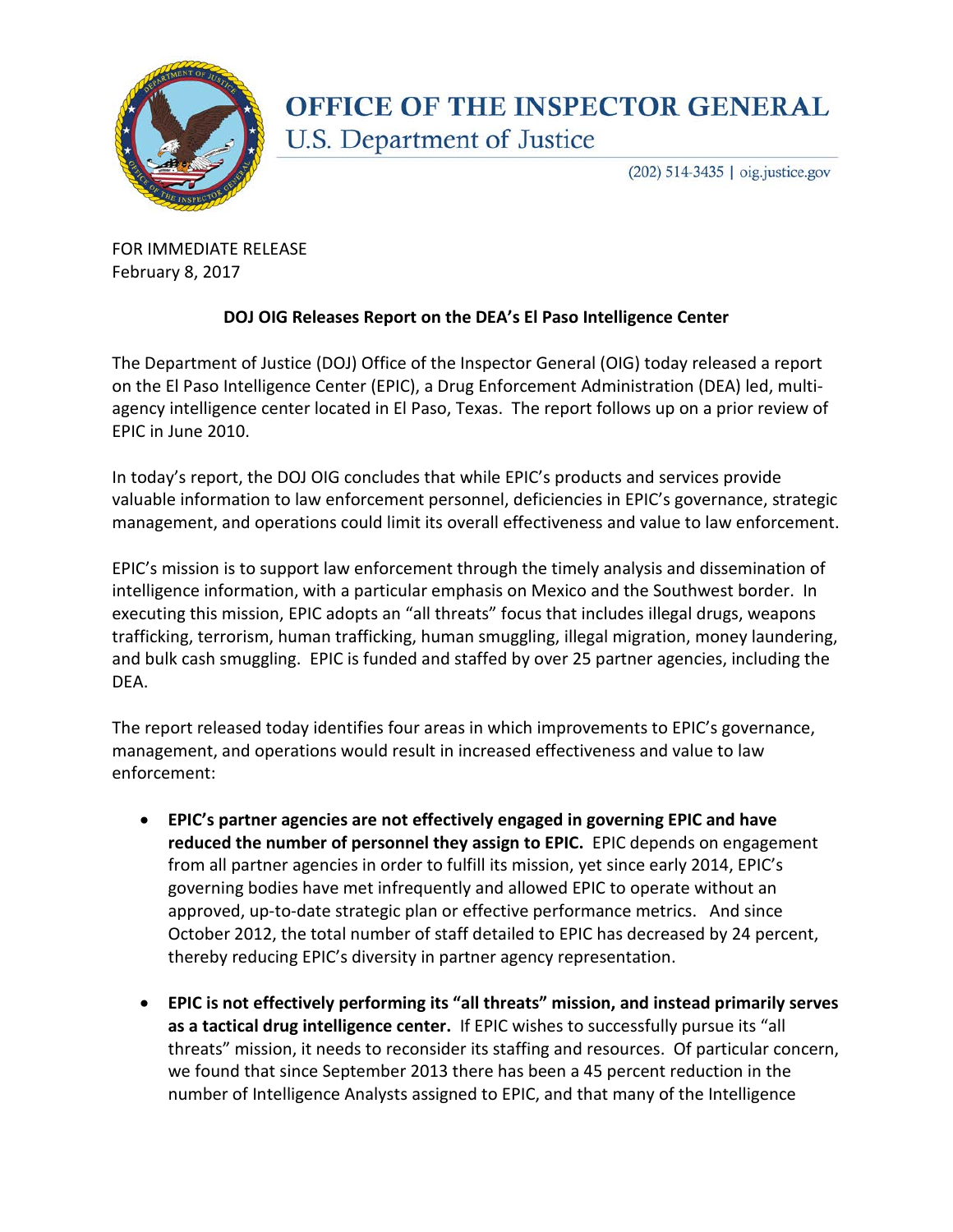

## **OFFICE OF THE INSPECTOR GENERAL** U.S. Department of Justice

(202) 514-3435 | oig.justice.gov

FOR IMMEDIATE RELEASE February 8, 2017

## **DOJ OIG Releases Report on the DEA's El Paso Intelligence Center**

The Department of Justice (DOJ) Office of the Inspector General (OIG) today released a report on the El Paso Intelligence Center (EPIC), a Drug Enforcement Administration (DEA) led, multiagency intelligence center located in El Paso, Texas. The report follows up on a prior review of EPIC in June 2010.

In today's report, the DOJ OIG concludes that while EPIC's products and services provide valuable information to law enforcement personnel, deficiencies in EPIC's governance, strategic management, and operations could limit its overall effectiveness and value to law enforcement.

EPIC's mission is to support law enforcement through the timely analysis and dissemination of intelligence information, with a particular emphasis on Mexico and the Southwest border. In executing this mission, EPIC adopts an "all threats" focus that includes illegal drugs, weapons trafficking, terrorism, human trafficking, human smuggling, illegal migration, money laundering, and bulk cash smuggling. EPIC is funded and staffed by over 25 partner agencies, including the DEA.

The report released today identifies four areas in which improvements to EPIC's governance, management, and operations would result in increased effectiveness and value to law enforcement:

- **EPIC's partner agencies are not effectively engaged in governing EPIC and have reduced the number of personnel they assign to EPIC.** EPIC depends on engagement from all partner agencies in order to fulfill its mission, yet since early 2014, EPIC's governing bodies have met infrequently and allowed EPIC to operate without an approved, up-to-date strategic plan or effective performance metrics. And since October 2012, the total number of staff detailed to EPIC has decreased by 24 percent, thereby reducing EPIC's diversity in partner agency representation.
- **EPIC is not effectively performing its "all threats" mission, and instead primarily serves as a tactical drug intelligence center.** If EPIC wishes to successfully pursue its "all threats" mission, it needs to reconsider its staffing and resources. Of particular concern, we found that since September 2013 there has been a 45 percent reduction in the number of Intelligence Analysts assigned to EPIC, and that many of the Intelligence